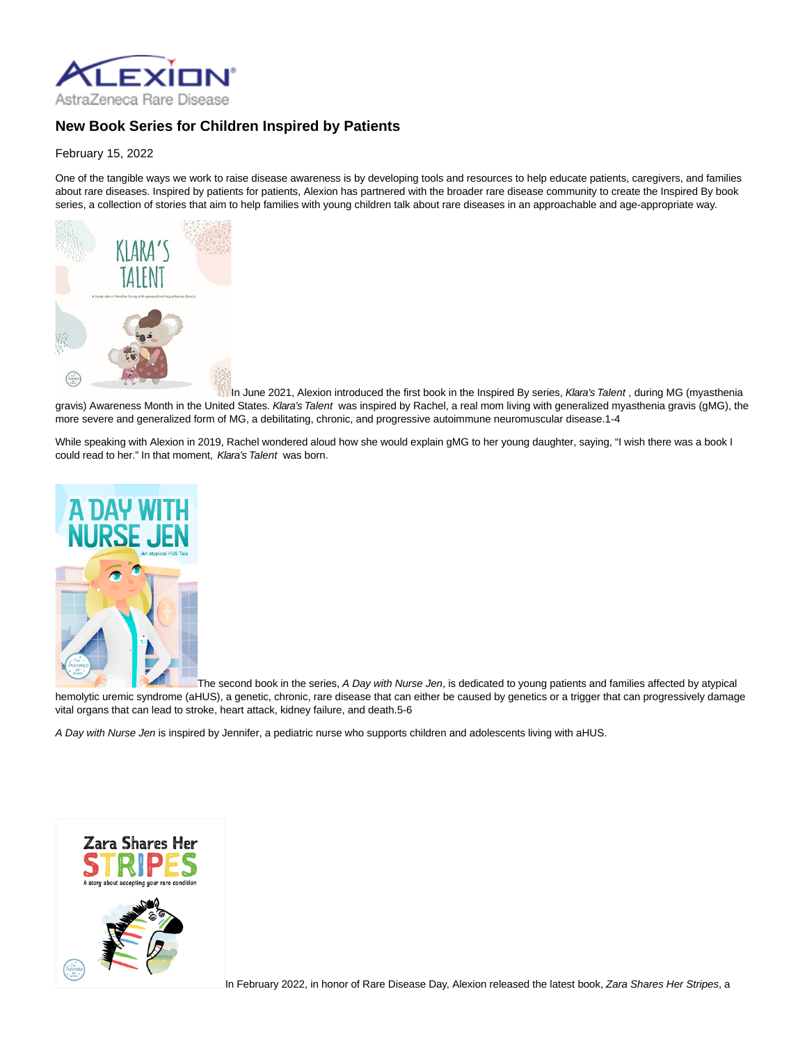

## **New Book Series for Children Inspired by Patients**

February 15, 2022

One of the tangible ways we work to raise disease awareness is by developing tools and resources to help educate patients, caregivers, and families about rare diseases. Inspired by patients for patients, Alexion has partnered with the broader rare disease community to create the Inspired By book series, a collection of stories that aim to help families with young children talk about rare diseases in an approachable and age-appropriate way.



In June 2021, Alexion introduced the first book in the Inspired By series, Klara's Talent, during MG (myasthenia gravis) Awareness Month in the United States. Klara's Talent was inspired by Rachel, a real mom living with generalized myasthenia gravis (gMG), the more severe and generalized form of MG, a debilitating, chronic, and progressive autoimmune neuromuscular disease.1-4

While speaking with Alexion in 2019, Rachel wondered aloud how she would explain gMG to her young daughter, saying, "I wish there was a book I could read to her." In that moment, Klara's Talent was born.



The second book in the series, A Day with Nurse Jen, is dedicated to young patients and families affected by atypical hemolytic uremic syndrome (aHUS), a genetic, chronic, rare disease that can either be caused by genetics or a trigger that can progressively damage vital organs that can lead to stroke, heart attack, kidney failure, and death.5-6

A Day with Nurse Jen is inspired by Jennifer, a pediatric nurse who supports children and adolescents living with aHUS.



In February 2022, in honor of Rare Disease Day, Alexion released the latest book, Zara Shares Her Stripes, a